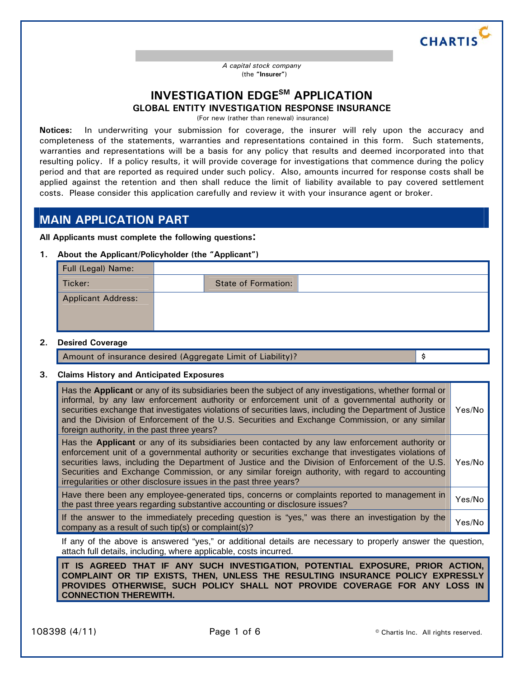

Name of Insurance Company to which **Application** is made *A capital stock company*  (the **"Insurer"**)

## **INVESTIGATION EDGE<sup>SM</sup> APPLICATION GLOBAL ENTITY INVESTIGATION RESPONSE INSURANCE**

(For new (rather than renewal) insurance)

**Notices:** In underwriting your submission for coverage, the insurer will rely upon the accuracy and completeness of the statements, warranties and representations contained in this form. Such statements, warranties and representations will be a basis for any policy that results and deemed incorporated into that resulting policy. If a policy results, it will provide coverage for investigations that commence during the policy period and that are reported as required under such policy. Also, amounts incurred for response costs shall be applied against the retention and then shall reduce the limit of liability available to pay covered settlement costs. Please consider this application carefully and review it with your insurance agent or broker.

## **MAIN APPLICATION PART**

**All Applicants must complete the following questions:**

**1. About the Applicant/Policyholder (the "Applicant")**

| Full (Legal) Name:        |                            |  |
|---------------------------|----------------------------|--|
| Ticker:                   | <b>State of Formation:</b> |  |
| <b>Applicant Address:</b> |                            |  |

#### **2. Desired Coverage**

Amount of insurance desired (Aggregate Limit of Liability)?  $\sim$ 

### **3. Claims History and Anticipated Exposures**

|                                                                                                                                                        | Has the Applicant or any of its subsidiaries been the subject of any investigations, whether formal or<br>informal, by any law enforcement authority or enforcement unit of a governmental authority or<br>securities exchange that investigates violations of securities laws, including the Department of Justice<br>and the Division of Enforcement of the U.S. Securities and Exchange Commission, or any similar<br>foreign authority, in the past three years?                | Yes/No |
|--------------------------------------------------------------------------------------------------------------------------------------------------------|-------------------------------------------------------------------------------------------------------------------------------------------------------------------------------------------------------------------------------------------------------------------------------------------------------------------------------------------------------------------------------------------------------------------------------------------------------------------------------------|--------|
|                                                                                                                                                        | Has the Applicant or any of its subsidiaries been contacted by any law enforcement authority or<br>enforcement unit of a governmental authority or securities exchange that investigates violations of<br>securities laws, including the Department of Justice and the Division of Enforcement of the U.S.<br>Securities and Exchange Commission, or any similar foreign authority, with regard to accounting<br>irregularities or other disclosure issues in the past three years? | Yes/No |
|                                                                                                                                                        | Have there been any employee-generated tips, concerns or complaints reported to management in<br>the past three years regarding substantive accounting or disclosure issues?                                                                                                                                                                                                                                                                                                        | Yes/No |
| If the answer to the immediately preceding question is "yes," was there an investigation by the<br>company as a result of such tip(s) or complaint(s)? |                                                                                                                                                                                                                                                                                                                                                                                                                                                                                     | Yes/No |

If any of the above is answered "yes," or additional details are necessary to properly answer the question, attach full details, including, where applicable, costs incurred.

**IT IS AGREED THAT IF ANY SUCH INVESTIGATION, POTENTIAL EXPOSURE, PRIOR ACTION, COMPLAINT OR TIP EXISTS, THEN, UNLESS THE RESULTING INSURANCE POLICY EXPRESSLY PROVIDES OTHERWISE, SUCH POLICY SHALL NOT PROVIDE COVERAGE FOR ANY LOSS IN CONNECTION THEREWITH.**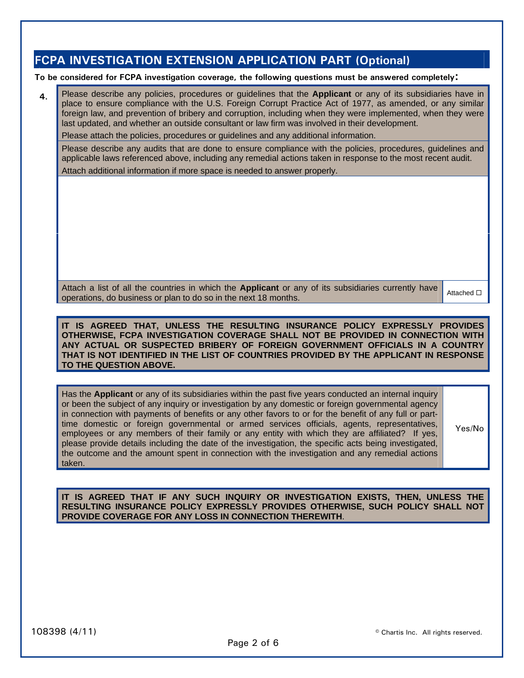# **FCPA INVESTIGATION EXTENSION APPLICATION PART (Optional)**

**To be considered for FCPA investigation coverage, the following questions must be answered completely:**

**4.** Please describe any policies, procedures or guidelines that the **Applicant** or any of its subsidiaries have in place to ensure compliance with the U.S. Foreign Corrupt Practice Act of 1977, as amended, or any similar foreign law, and prevention of bribery and corruption, including when they were implemented, when they were last updated, and whether an outside consultant or law firm was involved in their development.

Please attach the policies, procedures or guidelines and any additional information.

Please describe any audits that are done to ensure compliance with the policies, procedures, guidelines and applicable laws referenced above, including any remedial actions taken in response to the most recent audit.

Attach additional information if more space is needed to answer properly.

Attach a list of all the countries in which the **Applicant** or any of its subsidiaries currently have  $\frac{1}{2}$  operations, do business or plan to do so in the next 18 months.

**IT IS AGREED THAT, UNLESS THE RESULTING INSURANCE POLICY EXPRESSLY PROVIDES OTHERWISE, FCPA INVESTIGATION COVERAGE SHALL NOT BE PROVIDED IN CONNECTION WITH ANY ACTUAL OR SUSPECTED BRIBERY OF FOREIGN GOVERNMENT OFFICIALS IN A COUNTRY THAT IS NOT IDENTIFIED IN THE LIST OF COUNTRIES PROVIDED BY THE APPLICANT IN RESPONSE TO THE QUESTION ABOVE.** 

Has the **Applicant** or any of its subsidiaries within the past five years conducted an internal inquiry or been the subject of any inquiry or investigation by any domestic or foreign governmental agency in connection with payments of benefits or any other favors to or for the benefit of any full or parttime domestic or foreign governmental or armed services officials, agents, representatives, employees or any members of their family or any entity with which they are affiliated? If yes, please provide details including the date of the investigation, the specific acts being investigated, the outcome and the amount spent in connection with the investigation and any remedial actions taken.

Yes/No

**IT IS AGREED THAT IF ANY SUCH INQUIRY OR INVESTIGATION EXISTS, THEN, UNLESS THE RESULTING INSURANCE POLICY EXPRESSLY PROVIDES OTHERWISE, SUCH POLICY SHALL NOT PROVIDE COVERAGE FOR ANY LOSS IN CONNECTION THEREWITH**.

© Chartis Inc. All rights reserved.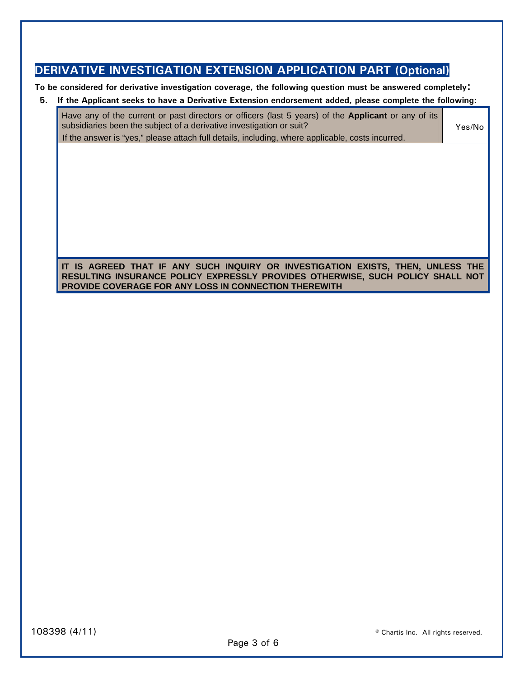# **DERIVATIVE INVESTIGATION EXTENSION APPLICATION PART (Optional)**

**To be considered for derivative investigation coverage, the following question must be answered completely:**

## **5. If the Applicant seeks to have a Derivative Extension endorsement added, please complete the following:**

Have any of the current or past directors or officers (last 5 years) of the **Applicant** or any of its subsidiaries been the subject of a derivative investigation or suit? If the answer is "yes," please attach full details, including, where applicable, costs incurred. Yes/No

## **IT IS AGREED THAT IF ANY SUCH INQUIRY OR INVESTIGATION EXISTS, THEN, UNLESS THE RESULTING INSURANCE POLICY EXPRESSLY PROVIDES OTHERWISE, SUCH POLICY SHALL NOT PROVIDE COVERAGE FOR ANY LOSS IN CONNECTION THEREWITH**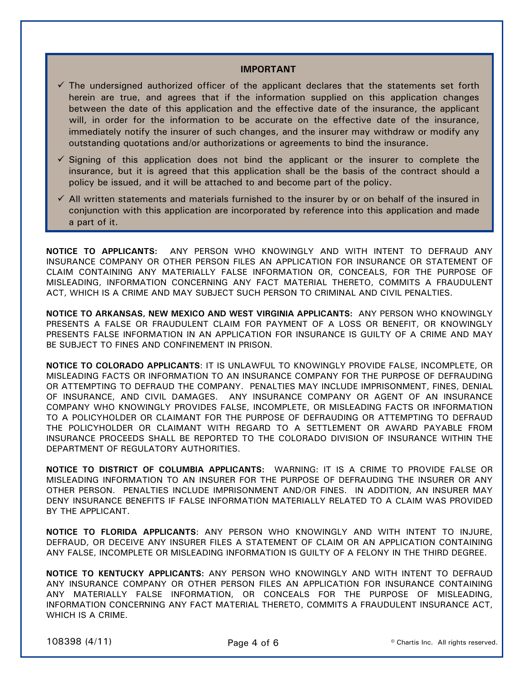#### **IMPORTANT**

- $\checkmark$  The undersigned authorized officer of the applicant declares that the statements set forth herein are true, and agrees that if the information supplied on this application changes between the date of this application and the effective date of the insurance, the applicant will, in order for the information to be accurate on the effective date of the insurance, immediately notify the insurer of such changes, and the insurer may withdraw or modify any outstanding quotations and/or authorizations or agreements to bind the insurance.
- $\checkmark$  Signing of this application does not bind the applicant or the insurer to complete the insurance, but it is agreed that this application shall be the basis of the contract should a policy be issued, and it will be attached to and become part of the policy.
- $\checkmark$  All written statements and materials furnished to the insurer by or on behalf of the insured in conjunction with this application are incorporated by reference into this application and made a part of it.

**NOTICE TO APPLICANTS:** ANY PERSON WHO KNOWINGLY AND WITH INTENT TO DEFRAUD ANY INSURANCE COMPANY OR OTHER PERSON FILES AN APPLICATION FOR INSURANCE OR STATEMENT OF CLAIM CONTAINING ANY MATERIALLY FALSE INFORMATION OR, CONCEALS, FOR THE PURPOSE OF MISLEADING, INFORMATION CONCERNING ANY FACT MATERIAL THERETO, COMMITS A FRAUDULENT ACT, WHICH IS A CRIME AND MAY SUBJECT SUCH PERSON TO CRIMINAL AND CIVIL PENALTIES.

**NOTICE TO ARKANSAS, NEW MEXICO AND WEST VIRGINIA APPLICANTS:** ANY PERSON WHO KNOWINGLY PRESENTS A FALSE OR FRAUDULENT CLAIM FOR PAYMENT OF A LOSS OR BENEFIT, OR KNOWINGLY PRESENTS FALSE INFORMATION IN AN APPLICATION FOR INSURANCE IS GUILTY OF A CRIME AND MAY BE SUBJECT TO FINES AND CONFINEMENT IN PRISON.

**NOTICE TO COLORADO APPLICANTS**: IT IS UNLAWFUL TO KNOWINGLY PROVIDE FALSE, INCOMPLETE, OR MISLEADING FACTS OR INFORMATION TO AN INSURANCE COMPANY FOR THE PURPOSE OF DEFRAUDING OR ATTEMPTING TO DEFRAUD THE COMPANY. PENALTIES MAY INCLUDE IMPRISONMENT, FINES, DENIAL OF INSURANCE, AND CIVIL DAMAGES. ANY INSURANCE COMPANY OR AGENT OF AN INSURANCE COMPANY WHO KNOWINGLY PROVIDES FALSE, INCOMPLETE, OR MISLEADING FACTS OR INFORMATION TO A POLICYHOLDER OR CLAIMANT FOR THE PURPOSE OF DEFRAUDING OR ATTEMPTING TO DEFRAUD THE POLICYHOLDER OR CLAIMANT WITH REGARD TO A SETTLEMENT OR AWARD PAYABLE FROM INSURANCE PROCEEDS SHALL BE REPORTED TO THE COLORADO DIVISION OF INSURANCE WITHIN THE DEPARTMENT OF REGULATORY AUTHORITIES.

**NOTICE TO DISTRICT OF COLUMBIA APPLICANTS:** WARNING: IT IS A CRIME TO PROVIDE FALSE OR MISLEADING INFORMATION TO AN INSURER FOR THE PURPOSE OF DEFRAUDING THE INSURER OR ANY OTHER PERSON. PENALTIES INCLUDE IMPRISONMENT AND/OR FINES. IN ADDITION, AN INSURER MAY DENY INSURANCE BENEFITS IF FALSE INFORMATION MATERIALLY RELATED TO A CLAIM WAS PROVIDED BY THE APPLICANT.

**NOTICE TO FLORIDA APPLICANTS**: ANY PERSON WHO KNOWINGLY AND WITH INTENT TO INJURE, DEFRAUD, OR DECEIVE ANY INSURER FILES A STATEMENT OF CLAIM OR AN APPLICATION CONTAINING ANY FALSE, INCOMPLETE OR MISLEADING INFORMATION IS GUILTY OF A FELONY IN THE THIRD DEGREE.

**NOTICE TO KENTUCKY APPLICANTS:** ANY PERSON WHO KNOWINGLY AND WITH INTENT TO DEFRAUD ANY INSURANCE COMPANY OR OTHER PERSON FILES AN APPLICATION FOR INSURANCE CONTAINING ANY MATERIALLY FALSE INFORMATION, OR CONCEALS FOR THE PURPOSE OF MISLEADING, INFORMATION CONCERNING ANY FACT MATERIAL THERETO, COMMITS A FRAUDULENT INSURANCE ACT, WHICH IS A CRIME.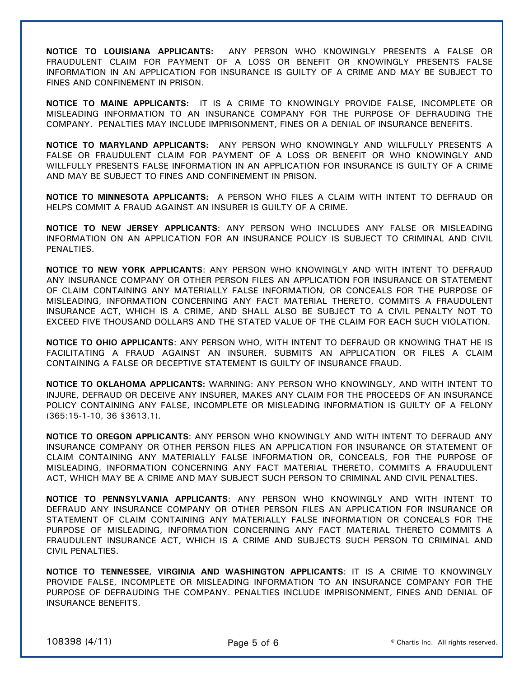**NOTICE TO LOUISIANA APPLICANTS:** ANY PERSON WHO KNOWINGLY PRESENTS A FALSE OR FRAUDULENT CLAIM FOR PAYMENT OF A LOSS OR BENEFIT OR KNOWINGLY PRESENTS FALSE INFORMATION IN AN APPLICATION FOR INSURANCE IS GUILTY OF A CRIME AND MAY BE SUBJECT TO FINES AND CONFINEMENT IN PRISON.

**NOTICE TO MAINE APPLICANTS:** IT IS A CRIME TO KNOWINGLY PROVIDE FALSE, INCOMPLETE OR MISLEADING INFORMATION TO AN INSURANCE COMPANY FOR THE PURPOSE OF DEFRAUDING THE COMPANY. PENALTIES MAY INCLUDE IMPRISONMENT, FINES OR A DENIAL OF INSURANCE BENEFITS.

**NOTICE TO MARYLAND APPLICANTS:** ANY PERSON WHO KNOWINGLY AND WILLFULLY PRESENTS A FALSE OR FRAUDULENT CLAIM FOR PAYMENT OF A LOSS OR BENEFIT OR WHO KNOWINGLY AND WILLFULLY PRESENTS FALSE INFORMATION IN AN APPLICATION FOR INSURANCE IS GUILTY OF A CRIME AND MAY BE SUBJECT TO FINES AND CONFINEMENT IN PRISON.

**NOTICE TO MINNESOTA APPLICANTS:** A PERSON WHO FILES A CLAIM WITH INTENT TO DEFRAUD OR HELPS COMMIT A FRAUD AGAINST AN INSURER IS GUILTY OF A CRIME.

**NOTICE TO NEW JERSEY APPLICANTS**: ANY PERSON WHO INCLUDES ANY FALSE OR MISLEADING INFORMATION ON AN APPLICATION FOR AN INSURANCE POLICY IS SUBJECT TO CRIMINAL AND CIVIL PENALTIES.

**NOTICE TO NEW YORK APPLICANTS**: ANY PERSON WHO KNOWINGLY AND WITH INTENT TO DEFRAUD ANY INSURANCE COMPANY OR OTHER PERSON FILES AN APPLICATION FOR INSURANCE OR STATEMENT OF CLAIM CONTAINING ANY MATERIALLY FALSE INFORMATION, OR CONCEALS FOR THE PURPOSE OF MISLEADING, INFORMATION CONCERNING ANY FACT MATERIAL THERETO, COMMITS A FRAUDULENT INSURANCE ACT, WHICH IS A CRIME, AND SHALL ALSO BE SUBJECT TO A CIVIL PENALTY NOT TO EXCEED FIVE THOUSAND DOLLARS AND THE STATED VALUE OF THE CLAIM FOR EACH SUCH VIOLATION.

**NOTICE TO OHIO APPLICANTS**: ANY PERSON WHO, WITH INTENT TO DEFRAUD OR KNOWING THAT HE IS FACILITATING A FRAUD AGAINST AN INSURER, SUBMITS AN APPLICATION OR FILES A CLAIM CONTAINING A FALSE OR DECEPTIVE STATEMENT IS GUILTY OF INSURANCE FRAUD.

**NOTICE TO OKLAHOMA APPLICANTS:** WARNING: ANY PERSON WHO KNOWINGLY, AND WITH INTENT TO INJURE, DEFRAUD OR DECEIVE ANY INSURER, MAKES ANY CLAIM FOR THE PROCEEDS OF AN INSURANCE POLICY CONTAINING ANY FALSE, INCOMPLETE OR MISLEADING INFORMATION IS GUILTY OF A FELONY (365:15-1-10, 36 §3613.1).

**NOTICE TO OREGON APPLICANTS**: ANY PERSON WHO KNOWINGLY AND WITH INTENT TO DEFRAUD ANY INSURANCE COMPANY OR OTHER PERSON FILES AN APPLICATION FOR INSURANCE OR STATEMENT OF CLAIM CONTAINING ANY MATERIALLY FALSE INFORMATION OR, CONCEALS, FOR THE PURPOSE OF MISLEADING, INFORMATION CONCERNING ANY FACT MATERIAL THERETO, COMMITS A FRAUDULENT ACT, WHICH MAY BE A CRIME AND MAY SUBJECT SUCH PERSON TO CRIMINAL AND CIVIL PENALTIES.

**NOTICE TO PENNSYLVANIA APPLICANTS**: ANY PERSON WHO KNOWINGLY AND WITH INTENT TO DEFRAUD ANY INSURANCE COMPANY OR OTHER PERSON FILES AN APPLICATION FOR INSURANCE OR STATEMENT OF CLAIM CONTAINING ANY MATERIALLY FALSE INFORMATION OR CONCEALS FOR THE PURPOSE OF MISLEADING, INFORMATION CONCERNING ANY FACT MATERIAL THERETO COMMITS A FRAUDULENT INSURANCE ACT, WHICH IS A CRIME AND SUBJECTS SUCH PERSON TO CRIMINAL AND CIVIL PENALTIES.

**NOTICE TO TENNESSEE, VIRGINIA AND WASHINGTON APPLICANTS**: IT IS A CRIME TO KNOWINGLY PROVIDE FALSE, INCOMPLETE OR MISLEADING INFORMATION TO AN INSURANCE COMPANY FOR THE PURPOSE OF DEFRAUDING THE COMPANY. PENALTIES INCLUDE IMPRISONMENT, FINES AND DENIAL OF INSURANCE BENEFITS.